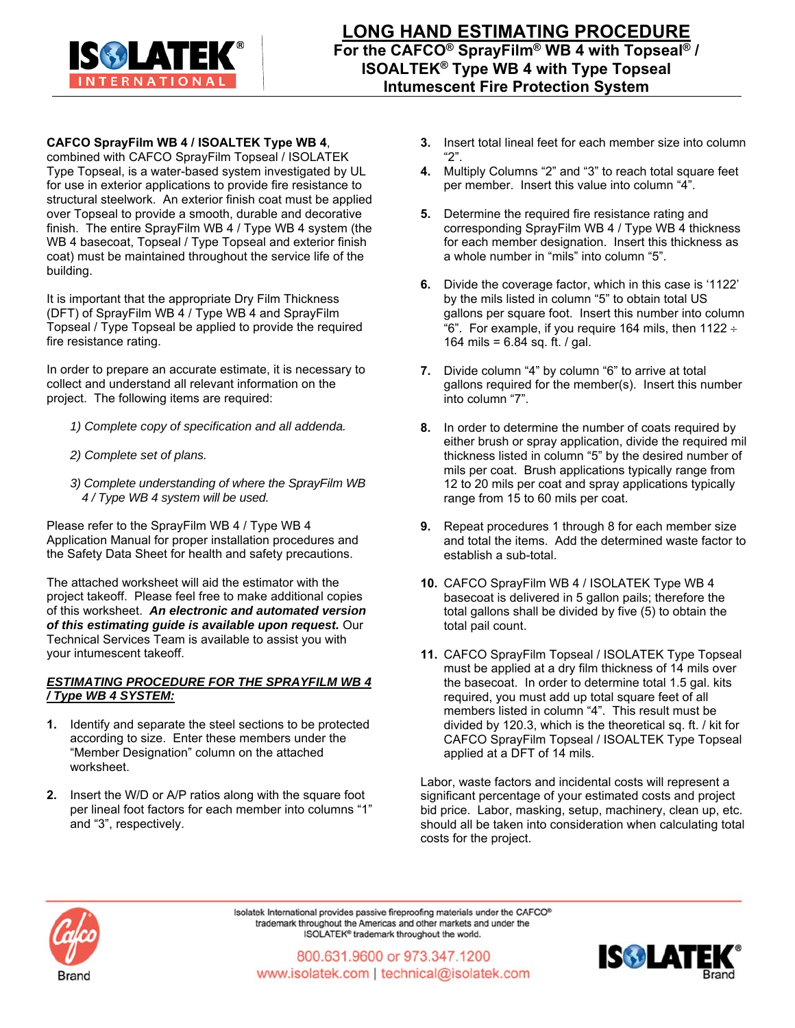

**CAFCO SprayFilm WB 4 / ISOALTEK Type WB 4**,

combined with CAFCO SprayFilm Topseal / ISOLATEK Type Topseal, is a water-based system investigated by UL for use in exterior applications to provide fire resistance to structural steelwork. An exterior finish coat must be applied over Topseal to provide a smooth, durable and decorative finish. The entire SprayFilm WB 4 / Type WB 4 system (the WB 4 basecoat, Topseal / Type Topseal and exterior finish coat) must be maintained throughout the service life of the building.

It is important that the appropriate Dry Film Thickness (DFT) of SprayFilm WB 4 / Type WB 4 and SprayFilm Topseal / Type Topseal be applied to provide the required fire resistance rating.

In order to prepare an accurate estimate, it is necessary to collect and understand all relevant information on the project. The following items are required:

- *1) Complete copy of specification and all addenda.*
- *2) Complete set of plans.*
- *3) Complete understanding of where the SprayFilm WB 4 / Type WB 4 system will be used.*

Please refer to the SprayFilm WB 4 / Type WB 4 Application Manual for proper installation procedures and the Safety Data Sheet for health and safety precautions.

The attached worksheet will aid the estimator with the project takeoff. Please feel free to make additional copies of this worksheet. *An electronic and automated version of this estimating guide is available upon request.* Our Technical Services Team is available to assist you with your intumescent takeoff.

## *ESTIMATING PROCEDURE FOR THE SPRAYFILM WB 4 / Type WB 4 SYSTEM:*

- **1.** Identify and separate the steel sections to be protected according to size. Enter these members under the "Member Designation" column on the attached worksheet.
- **2.** Insert the W/D or A/P ratios along with the square foot per lineal foot factors for each member into columns "1" and "3", respectively.
- **3.** Insert total lineal feet for each member size into column "2".
- **4.** Multiply Columns "2" and "3" to reach total square feet per member. Insert this value into column "4".
- **5.** Determine the required fire resistance rating and corresponding SprayFilm WB 4 / Type WB 4 thickness for each member designation. Insert this thickness as a whole number in "mils" into column "5".
- **6.** Divide the coverage factor, which in this case is '1122' by the mils listed in column "5" to obtain total US gallons per square foot. Insert this number into column "6". For example, if you require 164 mils, then  $1122 \div$ 164 mils = 6.84 sq. ft. / gal.
- **7.** Divide column "4" by column "6" to arrive at total gallons required for the member(s). Insert this number into column "7".
- **8.** In order to determine the number of coats required by either brush or spray application, divide the required mil thickness listed in column "5" by the desired number of mils per coat. Brush applications typically range from 12 to 20 mils per coat and spray applications typically range from 15 to 60 mils per coat.
- **9.** Repeat procedures 1 through 8 for each member size and total the items. Add the determined waste factor to establish a sub-total.
- **10.** CAFCO SprayFilm WB 4 / ISOLATEK Type WB 4 basecoat is delivered in 5 gallon pails; therefore the total gallons shall be divided by five (5) to obtain the total pail count.
- **11.** CAFCO SprayFilm Topseal / ISOLATEK Type Topseal must be applied at a dry film thickness of 14 mils over the basecoat. In order to determine total 1.5 gal. kits required, you must add up total square feet of all members listed in column "4". This result must be divided by 120.3, which is the theoretical sq. ft. / kit for CAFCO SprayFilm Topseal / ISOALTEK Type Topseal applied at a DFT of 14 mils.

Labor, waste factors and incidental costs will represent a significant percentage of your estimated costs and project bid price. Labor, masking, setup, machinery, clean up, etc. should all be taken into consideration when calculating total costs for the project.



Isolatek International provides passive fireproofing materials under the CAFCO® trademark throughout the Americas and other markets and under the ISOLATEK® trademark throughout the world.

800.631.9600 or 973.347.1200 www.isolatek.com | technical@isolatek.com